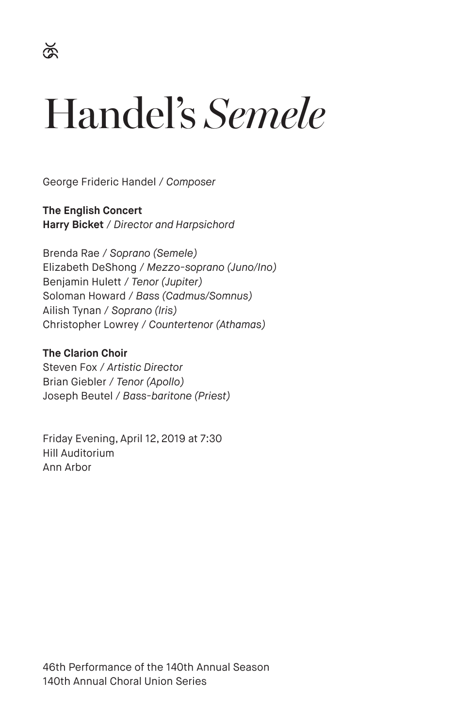# Handel's *Semele*

George Frideric Handel / *Composer*

**The English Concert Harry Bicket** / *Director and Harpsichord*

Brenda Rae / *Soprano (Semele)* Elizabeth DeShong / *Mezzo-soprano (Juno/Ino)* Benjamin Hulett / *Tenor (Jupiter)* Soloman Howard / *Bass (Cadmus/Somnus)* Ailish Tynan / *Soprano (Iris)* Christopher Lowrey / *Countertenor (Athamas)*

**The Clarion Choir** Steven Fox / *Artistic Director* Brian Giebler / *Tenor (Apollo)* Joseph Beutel / *Bass-baritone (Priest)*

Friday Evening, April 12, 2019 at 7:30 Hill Auditorium Ann Arbor

46th Performance of the 140th Annual Season 140th Annual Choral Union Series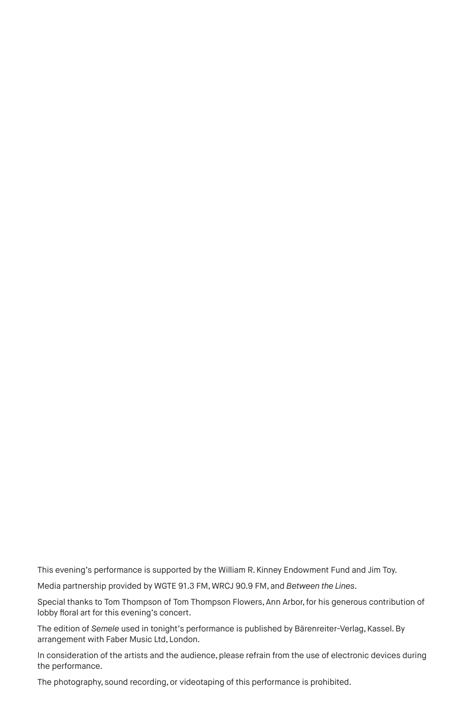This evening's performance is supported by the William R. Kinney Endowment Fund and Jim Toy.

Media partnership provided by WGTE 91.3 FM, WRCJ 90.9 FM, and *Between the Lines*.

Special thanks to Tom Thompson of Tom Thompson Flowers, Ann Arbor, for his generous contribution of lobby floral art for this evening's concert.

The edition of *Semele* used in tonight's performance is published by Bärenreiter-Verlag, Kassel. By arrangement with Faber Music Ltd, London.

In consideration of the artists and the audience, please refrain from the use of electronic devices during the performance.

The photography, sound recording, or videotaping of this performance is prohibited.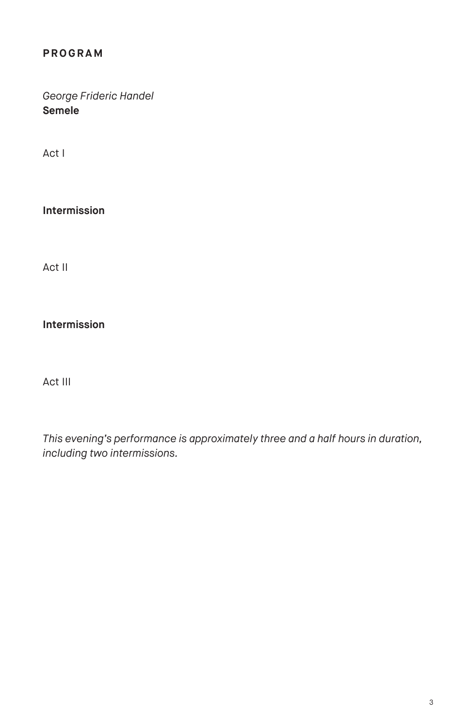## **PROGRAM**

*George Frideric Handel* **Semele**

Act I

**Intermission**

Act II

**Intermission** 

Act III

*This evening's performance is approximately three and a half hours in duration, including two intermissions.*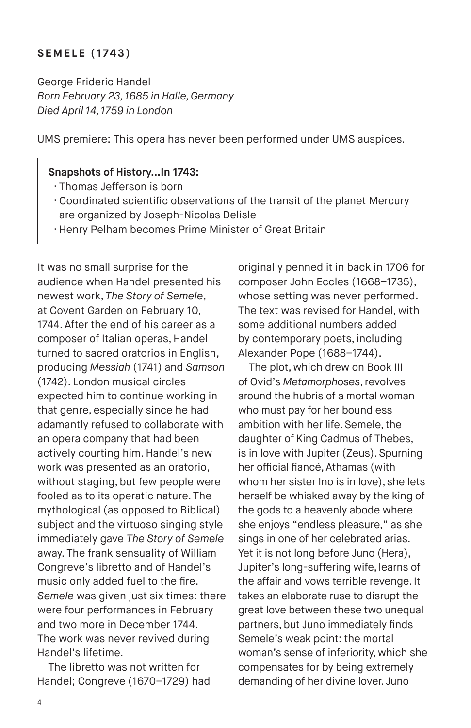#### **SEMELE (1743)**

George Frideric Handel *Born February 23, 1685 in Halle, Germany Died April 14, 1759 in London*

UMS premiere: This opera has never been performed under UMS auspices.

#### **Snapshots of History…In 1743:**

- · Thomas Jefferson is born
- · Coordinated scientific observations of the transit of the planet Mercury are organized by Joseph-Nicolas Delisle
- · Henry Pelham becomes Prime Minister of Great Britain

It was no small surprise for the audience when Handel presented his newest work, *The Story of Semele*, at Covent Garden on February 10, 1744. After the end of his career as a composer of Italian operas, Handel turned to sacred oratorios in English, producing *Messiah* (1741) and *Samson* (1742). London musical circles expected him to continue working in that genre, especially since he had adamantly refused to collaborate with an opera company that had been actively courting him. Handel's new work was presented as an oratorio, without staging, but few people were fooled as to its operatic nature. The mythological (as opposed to Biblical) subject and the virtuoso singing style immediately gave *The Story of Semele* away. The frank sensuality of William Congreve's libretto and of Handel's music only added fuel to the fire. *Semele* was given just six times: there were four performances in February and two more in December 1744. The work was never revived during Handel's lifetime.

The libretto was not written for Handel; Congreve (1670–1729) had originally penned it in back in 1706 for composer John Eccles (1668–1735), whose setting was never performed. The text was revised for Handel, with some additional numbers added by contemporary poets, including Alexander Pope (1688–1744).

The plot, which drew on Book III of Ovid's *Metamorphoses*, revolves around the hubris of a mortal woman who must pay for her boundless ambition with her life. Semele, the daughter of King Cadmus of Thebes, is in love with Jupiter (Zeus). Spurning her official fiancé, Athamas (with whom her sister Ino is in love), she lets herself be whisked away by the king of the gods to a heavenly abode where she enjoys "endless pleasure," as she sings in one of her celebrated arias. Yet it is not long before Juno (Hera), Jupiter's long-suffering wife, learns of the affair and vows terrible revenge. It takes an elaborate ruse to disrupt the great love between these two unequal partners, but Juno immediately finds Semele's weak point: the mortal woman's sense of inferiority, which she compensates for by being extremely demanding of her divine lover. Juno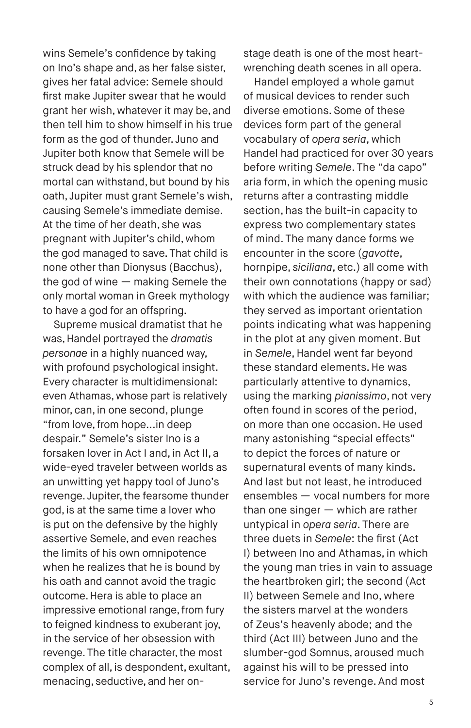wins Semele's confidence by taking on Ino's shape and, as her false sister, gives her fatal advice: Semele should first make Jupiter swear that he would grant her wish, whatever it may be, and then tell him to show himself in his true form as the god of thunder. Juno and Jupiter both know that Semele will be struck dead by his splendor that no mortal can withstand, but bound by his oath, Jupiter must grant Semele's wish, causing Semele's immediate demise. At the time of her death, she was pregnant with Jupiter's child, whom the god managed to save. That child is none other than Dionysus (Bacchus), the god of wine — making Semele the only mortal woman in Greek mythology to have a god for an offspring.

Supreme musical dramatist that he was, Handel portrayed the *dramatis personae* in a highly nuanced way, with profound psychological insight. Every character is multidimensional: even Athamas, whose part is relatively minor, can, in one second, plunge "from love, from hope...in deep despair." Semele's sister Ino is a forsaken lover in Act I and, in Act II, a wide-eyed traveler between worlds as an unwitting yet happy tool of Juno's revenge. Jupiter, the fearsome thunder god, is at the same time a lover who is put on the defensive by the highly assertive Semele, and even reaches the limits of his own omnipotence when he realizes that he is bound by his oath and cannot avoid the tragic outcome. Hera is able to place an impressive emotional range, from fury to feigned kindness to exuberant joy, in the service of her obsession with revenge. The title character, the most complex of all, is despondent, exultant, menacing, seductive, and her onstage death is one of the most heartwrenching death scenes in all opera.

Handel employed a whole gamut of musical devices to render such diverse emotions. Some of these devices form part of the general vocabulary of *opera seria*, which Handel had practiced for over 30 years before writing *Semele*. The "da capo" aria form, in which the opening music returns after a contrasting middle section, has the built-in capacity to express two complementary states of mind. The many dance forms we encounter in the score (*gavotte*, hornpipe, *siciliana*, etc.) all come with their own connotations (happy or sad) with which the audience was familiar; they served as important orientation points indicating what was happening in the plot at any given moment. But in *Semele*, Handel went far beyond these standard elements. He was particularly attentive to dynamics, using the marking *pianissimo*, not very often found in scores of the period, on more than one occasion. He used many astonishing "special effects" to depict the forces of nature or supernatural events of many kinds. And last but not least, he introduced ensembles — vocal numbers for more than one singer — which are rather untypical in *opera seria*. There are three duets in *Semele*: the first (Act I) between Ino and Athamas, in which the young man tries in vain to assuage the heartbroken girl; the second (Act II) between Semele and Ino, where the sisters marvel at the wonders of Zeus's heavenly abode; and the third (Act III) between Juno and the slumber-god Somnus, aroused much against his will to be pressed into service for Juno's revenge. And most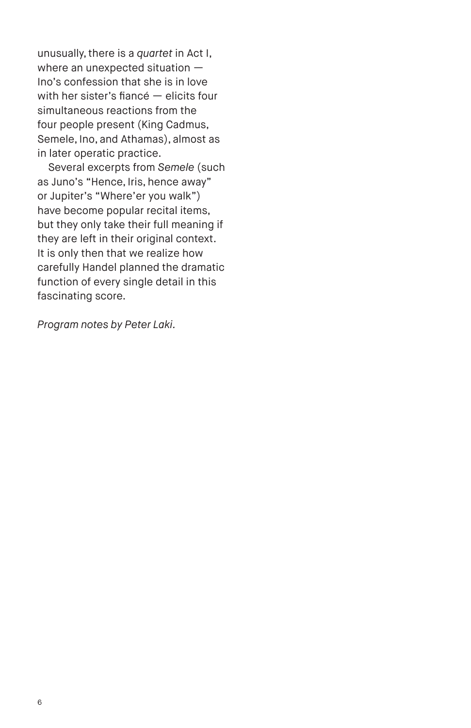unusually, there is a *quartet* in Act I, where an unexpected situation — Ino's confession that she is in love with her sister's fiancé — elicits four simultaneous reactions from the four people present (King Cadmus, Semele, Ino, and Athamas), almost as in later operatic practice.

Several excerpts from *Semele* (such as Juno's "Hence, Iris, hence away" or Jupiter's "Where'er you walk") have become popular recital items, but they only take their full meaning if they are left in their original context. It is only then that we realize how carefully Handel planned the dramatic function of every single detail in this fascinating score.

*Program notes by Peter Laki.*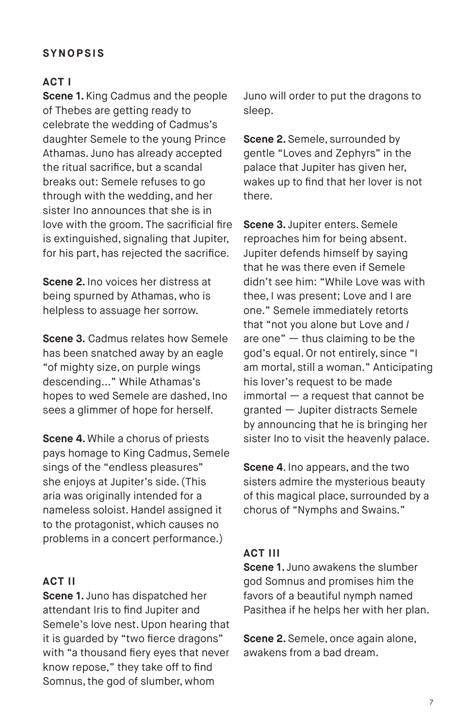## **SYNOPSIS**

#### **ACT I**

**Scene 1.** King Cadmus and the people of Thebes are getting ready to celebrate the wedding of Cadmus's daughter Semele to the young Prince Athamas. Juno has already accepted the ritual sacrifice, but a scandal breaks out: Semele refuses to go through with the wedding, and her sister Ino announces that she is in love with the groom. The sacrificial fire is extinguished, signaling that Jupiter, for his part, has rejected the sacrifice.

**Scene 2.** Ino voices her distress at being spurned by Athamas, who is helpless to assuage her sorrow.

**Scene 3.** Cadmus relates how Semele has been snatched away by an eagle "of mighty size, on purple wings descending..." While Athamas's hopes to wed Semele are dashed, Ino sees a glimmer of hope for herself.

**Scene 4.** While a chorus of priests pays homage to King Cadmus, Semele sings of the "endless pleasures" she enjoys at Jupiter's side. (This aria was originally intended for a nameless soloist. Handel assigned it to the protagonist, which causes no problems in a concert performance.)

#### **ACT II**

**Scene 1.** Juno has dispatched her attendant Iris to find Jupiter and Semele's love nest. Upon hearing that it is guarded by "two fierce dragons" with "a thousand fiery eyes that never know repose," they take off to find Somnus, the god of slumber, whom

Juno will order to put the dragons to sleep.

**Scene 2.** Semele, surrounded by gentle "Loves and Zephyrs" in the palace that Jupiter has given her, wakes up to find that her lover is not there.

**Scene 3.** Jupiter enters. Semele reproaches him for being absent. Jupiter defends himself by saying that he was there even if Semele didn't see him: "While Love was with thee, I was present; Love and I are one." Semele immediately retorts that "not you alone but Love and *I* are one" — thus claiming to be the god's equal. Or not entirely, since "I am mortal, still a woman." Anticipating his lover's request to be made immortal — a request that cannot be granted — Jupiter distracts Semele by announcing that he is bringing her sister Ino to visit the heavenly palace.

**Scene 4**. Ino appears, and the two sisters admire the mysterious beauty of this magical place, surrounded by a chorus of "Nymphs and Swains."

#### **ACT III**

**Scene 1.** Juno awakens the slumber god Somnus and promises him the favors of a beautiful nymph named Pasithea if he helps her with her plan.

**Scene 2.** Semele, once again alone, awakens from a bad dream.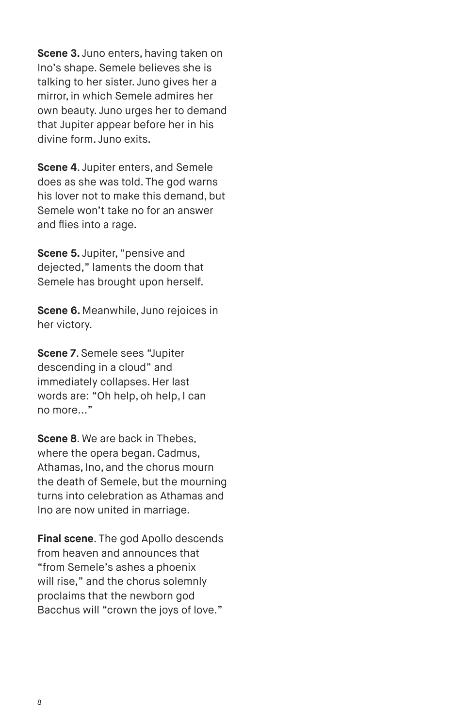**Scene 3.** Juno enters, having taken on Ino's shape. Semele believes she is talking to her sister. Juno gives her a mirror, in which Semele admires her own beauty. Juno urges her to demand that Jupiter appear before her in his divine form. Juno exits.

**Scene 4**. Jupiter enters, and Semele does as she was told. The god warns his lover not to make this demand, but Semele won't take no for an answer and flies into a rage.

**Scene 5.** Jupiter, "pensive and dejected," laments the doom that Semele has brought upon herself.

**Scene 6.** Meanwhile, Juno rejoices in her victory.

**Scene 7**. Semele sees "Jupiter descending in a cloud" and immediately collapses. Her last words are: "Oh help, oh help, I can no more..."

**Scene 8**. We are back in Thebes, where the opera began. Cadmus, Athamas, Ino, and the chorus mourn the death of Semele, but the mourning turns into celebration as Athamas and Ino are now united in marriage.

**Final scene**. The god Apollo descends from heaven and announces that "from Semele's ashes a phoenix will rise," and the chorus solemnly proclaims that the newborn god Bacchus will "crown the joys of love."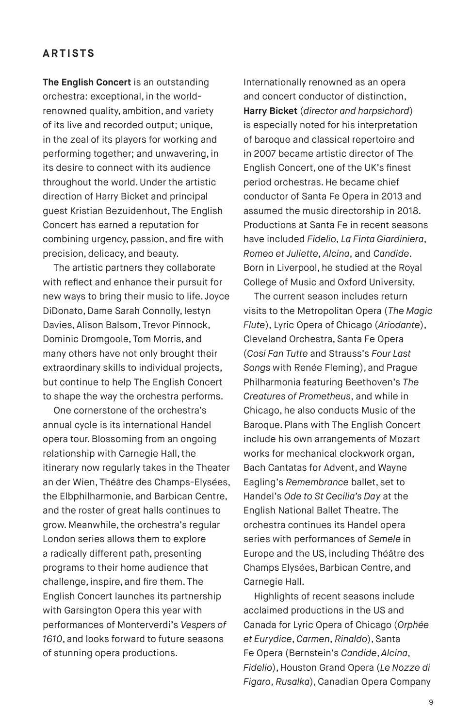#### **ARTISTS**

**The English Concert** is an outstanding orchestra: exceptional, in the worldrenowned quality, ambition, and variety of its live and recorded output; unique, in the zeal of its players for working and performing together; and unwavering, in its desire to connect with its audience throughout the world. Under the artistic direction of Harry Bicket and principal guest Kristian Bezuidenhout, The English Concert has earned a reputation for combining urgency, passion, and fire with precision, delicacy, and beauty.

The artistic partners they collaborate with reflect and enhance their pursuit for new ways to bring their music to life. Joyce DiDonato, Dame Sarah Connolly, Iestyn Davies, Alison Balsom, Trevor Pinnock, Dominic Dromgoole, Tom Morris, and many others have not only brought their extraordinary skills to individual projects, but continue to help The English Concert to shape the way the orchestra performs.

One cornerstone of the orchestra's annual cycle is its international Handel opera tour. Blossoming from an ongoing relationship with Carnegie Hall, the itinerary now regularly takes in the Theater an der Wien, Théâtre des Champs-Elysées, the Elbphilharmonie, and Barbican Centre, and the roster of great halls continues to grow. Meanwhile, the orchestra's regular London series allows them to explore a radically different path, presenting programs to their home audience that challenge, inspire, and fire them. The English Concert launches its partnership with Garsington Opera this year with performances of Monterverdi's *Vespers of 1610*, and looks forward to future seasons of stunning opera productions.

Internationally renowned as an opera and concert conductor of distinction, **Harry Bicket** (*director and harpsichord*) is especially noted for his interpretation of baroque and classical repertoire and in 2007 became artistic director of The English Concert, one of the UK's finest period orchestras. He became chief conductor of Santa Fe Opera in 2013 and assumed the music directorship in 2018. Productions at Santa Fe in recent seasons have included *Fidelio*, *La Finta Giardiniera*, *Romeo et Juliette*, *Alcina*, and *Candide*. Born in Liverpool, he studied at the Royal College of Music and Oxford University.

The current season includes return visits to the Metropolitan Opera (*The Magic Flute*), Lyric Opera of Chicago (*Ariodante*), Cleveland Orchestra, Santa Fe Opera (*Cosi Fan Tutte* and Strauss's *Four Last Songs* with Renée Fleming), and Prague Philharmonia featuring Beethoven's *The Creatures of Prometheus*, and while in Chicago, he also conducts Music of the Baroque. Plans with The English Concert include his own arrangements of Mozart works for mechanical clockwork organ, Bach Cantatas for Advent, and Wayne Eagling's *Remembrance* ballet, set to Handel's *Ode to St Cecilia's Day* at the English National Ballet Theatre. The orchestra continues its Handel opera series with performances of *Semele* in Europe and the US, including Théâtre des Champs Elysées, Barbican Centre, and Carnegie Hall.

Highlights of recent seasons include acclaimed productions in the US and Canada for Lyric Opera of Chicago (*Orphée et Eurydice*, *Carmen*, *Rinaldo*), Santa Fe Opera (Bernstein's *Candide*, *Alcina*, *Fidelio*), Houston Grand Opera (*Le Nozze di Figaro*, *Rusalka*), Canadian Opera Company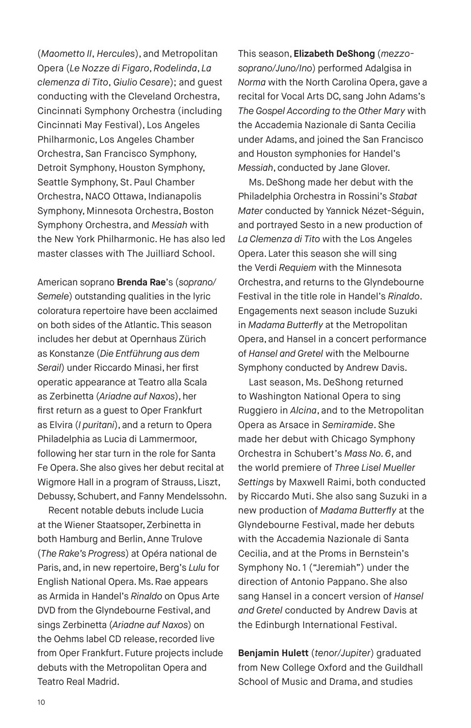(*Maometto II*, *Hercules*), and Metropolitan Opera (*Le Nozze di Figaro*, *Rodelinda*, *La clemenza di Tito*, *Giulio Cesare*); and guest conducting with the Cleveland Orchestra, Cincinnati Symphony Orchestra (including Cincinnati May Festival), Los Angeles Philharmonic, Los Angeles Chamber Orchestra, San Francisco Symphony, Detroit Symphony, Houston Symphony, Seattle Symphony, St. Paul Chamber Orchestra, NACO Ottawa, Indianapolis Symphony, Minnesota Orchestra, Boston Symphony Orchestra, and *Messiah* with the New York Philharmonic. He has also led master classes with The Juilliard School.

American soprano **Brenda Rae**'s (*soprano/ Semele*) outstanding qualities in the lyric coloratura repertoire have been acclaimed on both sides of the Atlantic. This season includes her debut at Opernhaus Zürich as Konstanze (*Die Entführung aus dem Serail*) under Riccardo Minasi, her first operatic appearance at Teatro alla Scala as Zerbinetta (*Ariadne auf Naxos*), her first return as a guest to Oper Frankfurt as Elvira (*I puritani*), and a return to Opera Philadelphia as Lucia di Lammermoor, following her star turn in the role for Santa Fe Opera. She also gives her debut recital at Wigmore Hall in a program of Strauss, Liszt, Debussy, Schubert, and Fanny Mendelssohn.

Recent notable debuts include Lucia at the Wiener Staatsoper, Zerbinetta in both Hamburg and Berlin, Anne Trulove (*The Rake's Progress*) at Opéra national de Paris, and, in new repertoire, Berg's *Lulu* for English National Opera. Ms. Rae appears as Armida in Handel's *Rinaldo* on Opus Arte DVD from the Glyndebourne Festival, and sings Zerbinetta (*Ariadne auf Naxos*) on the Oehms label CD release, recorded live from Oper Frankfurt. Future projects include debuts with the Metropolitan Opera and Teatro Real Madrid.

This season, **Elizabeth DeShong** (*mezzosoprano/Juno/Ino*) performed Adalgisa in *Norma* with the North Carolina Opera, gave a recital for Vocal Arts DC, sang John Adams's *The Gospel According to the Other Mary* with the Accademia Nazionale di Santa Cecilia under Adams, and joined the San Francisco and Houston symphonies for Handel's *Messiah*, conducted by Jane Glover.

Ms. DeShong made her debut with the Philadelphia Orchestra in Rossini's *Stabat Mater* conducted by Yannick Nézet-Séguin, and portrayed Sesto in a new production of *La Clemenza di Tito* with the Los Angeles Opera. Later this season she will sing the Verdi *Requiem* with the Minnesota Orchestra, and returns to the Glyndebourne Festival in the title role in Handel's *Rinaldo*. Engagements next season include Suzuki in *Madama Butterfly* at the Metropolitan Opera, and Hansel in a concert performance of *Hansel and Gretel* with the Melbourne Symphony conducted by Andrew Davis.

Last season, Ms. DeShong returned to Washington National Opera to sing Ruggiero in *Alcina*, and to the Metropolitan Opera as Arsace in *Semiramide*. She made her debut with Chicago Symphony Orchestra in Schubert's *Mass No. 6*, and the world premiere of *Three Lisel Mueller Settings* by Maxwell Raimi, both conducted by Riccardo Muti. She also sang Suzuki in a new production of *Madama Butterfly* at the Glyndebourne Festival, made her debuts with the Accademia Nazionale di Santa Cecilia, and at the Proms in Bernstein's Symphony No. 1 ("Jeremiah") under the direction of Antonio Pappano. She also sang Hansel in a concert version of *Hansel and Gretel* conducted by Andrew Davis at the Edinburgh International Festival.

**Benjamin Hulett** (*tenor/Jupiter*) graduated from New College Oxford and the Guildhall School of Music and Drama, and studies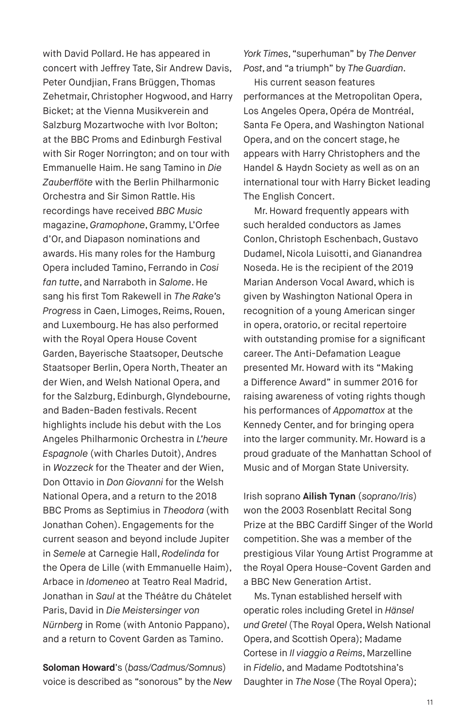with David Pollard. He has appeared in concert with Jeffrey Tate, Sir Andrew Davis, Peter Oundjian, Frans Brüggen, Thomas Zehetmair, Christopher Hogwood, and Harry Bicket; at the Vienna Musikverein and Salzburg Mozartwoche with Ivor Bolton; at the BBC Proms and Edinburgh Festival with Sir Roger Norrington; and on tour with Emmanuelle Haim. He sang Tamino in *Die Zauberflöte* with the Berlin Philharmonic Orchestra and Sir Simon Rattle. His recordings have received *BBC Music* magazine, *Gramophone*, Grammy, L'Orfee d'Or, and Diapason nominations and awards. His many roles for the Hamburg Opera included Tamino, Ferrando in *Cosi fan tutte*, and Narraboth in *Salome*. He sang his first Tom Rakewell in *The Rake's Progress* in Caen, Limoges, Reims, Rouen, and Luxembourg. He has also performed with the Royal Opera House Covent Garden, Bayerische Staatsoper, Deutsche Staatsoper Berlin, Opera North, Theater an der Wien, and Welsh National Opera, and for the Salzburg, Edinburgh, Glyndebourne, and Baden-Baden festivals. Recent highlights include his debut with the Los Angeles Philharmonic Orchestra in *L'heure Espagnole* (with Charles Dutoit), Andres in *Wozzeck* for the Theater and der Wien, Don Ottavio in *Don Giovanni* for the Welsh National Opera, and a return to the 2018 BBC Proms as Septimius in *Theodora* (with Jonathan Cohen). Engagements for the current season and beyond include Jupiter in *Semele* at Carnegie Hall, *Rodelinda* for the Opera de Lille (with Emmanuelle Haim), Arbace in *Idomeneo* at Teatro Real Madrid, Jonathan in *Saul* at the Théâtre du Châtelet Paris, David in *Die Meistersinger von Nürnberg* in Rome (with Antonio Pappano), and a return to Covent Garden as Tamino.

**Soloman Howard**'s (*bass/Cadmus/Somnus*) voice is described as "sonorous" by the *New*  *York Times*, "superhuman" by *The Denver Post*, and "a triumph" by *The Guardian*.

His current season features performances at the Metropolitan Opera, Los Angeles Opera, Opéra de Montréal, Santa Fe Opera, and Washington National Opera, and on the concert stage, he appears with Harry Christophers and the Handel & Haydn Society as well as on an international tour with Harry Bicket leading The English Concert.

Mr. Howard frequently appears with such heralded conductors as James Conlon, Christoph Eschenbach, Gustavo Dudamel, Nicola Luisotti, and Gianandrea Noseda. He is the recipient of the 2019 Marian Anderson Vocal Award, which is given by Washington National Opera in recognition of a young American singer in opera, oratorio, or recital repertoire with outstanding promise for a significant career. The Anti-Defamation League presented Mr. Howard with its "Making a Difference Award" in summer 2016 for raising awareness of voting rights though his performances of *Appomattox* at the Kennedy Center, and for bringing opera into the larger community. Mr. Howard is a proud graduate of the Manhattan School of Music and of Morgan State University.

Irish soprano **Ailish Tynan** (*soprano/Iris*) won the 2003 Rosenblatt Recital Song Prize at the BBC Cardiff Singer of the World competition. She was a member of the prestigious Vilar Young Artist Programme at the Royal Opera House-Covent Garden and a BBC New Generation Artist.

Ms. Tynan established herself with operatic roles including Gretel in *Hänsel und Gretel* (The Royal Opera, Welsh National Opera, and Scottish Opera); Madame Cortese in *Il viaggio a Reims*, Marzelline in *Fidelio*, and Madame Podtotshina's Daughter in *The Nose* (The Royal Opera);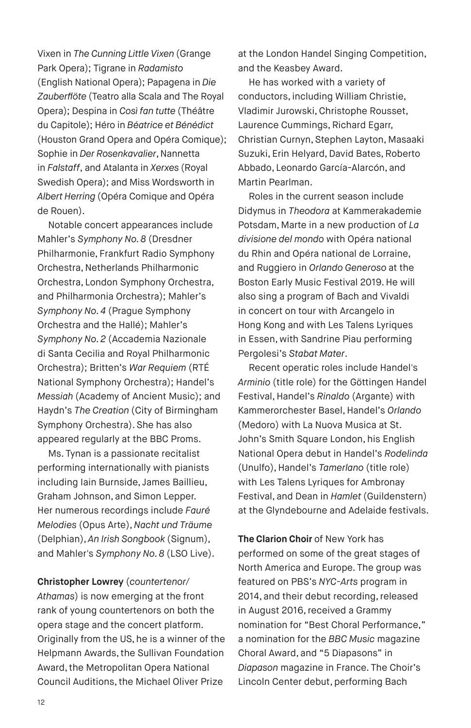Vixen in *The Cunning Little Vixen* (Grange Park Opera); Tigrane in *Radamisto*  (English National Opera); Papagena in *Die Zauberflöte* (Teatro alla Scala and The Royal Opera); Despina in *Così fan tutte* (Théâtre du Capitole); Héro in *Béatrice et Bénédict*  (Houston Grand Opera and Opéra Comique); Sophie in *Der Rosenkavalier*, Nannetta in *Falstaff*, and Atalanta in *Xerxes* (Royal Swedish Opera); and Miss Wordsworth in *Albert Herring* (Opéra Comique and Opéra de Rouen).

Notable concert appearances include Mahler's *Symphony No. 8* (Dresdner Philharmonie, Frankfurt Radio Symphony Orchestra, Netherlands Philharmonic Orchestra, London Symphony Orchestra, and Philharmonia Orchestra); Mahler's *Symphony No. 4* (Prague Symphony Orchestra and the Hallé); Mahler's *Symphony No. 2* (Accademia Nazionale di Santa Cecilia and Royal Philharmonic Orchestra); Britten's *War Requiem* (RTÉ National Symphony Orchestra); Handel's *Messiah* (Academy of Ancient Music); and Haydn's *The Creation* (City of Birmingham Symphony Orchestra). She has also appeared regularly at the BBC Proms.

Ms. Tynan is a passionate recitalist performing internationally with pianists including Iain Burnside, James Baillieu, Graham Johnson, and Simon Lepper. Her numerous recordings include *Fauré Melodies* (Opus Arte), *Nacht und Träume* (Delphian), *An Irish Songbook* (Signum), and Mahler's *Symphony No. 8* (LSO Live).

**Christopher Lowrey** (*countertenor/ Athamas*) is now emerging at the front rank of young countertenors on both the opera stage and the concert platform. Originally from the US, he is a winner of the Helpmann Awards, the Sullivan Foundation Award, the Metropolitan Opera National Council Auditions, the Michael Oliver Prize

at the London Handel Singing Competition, and the Keasbey Award.

He has worked with a variety of conductors, including William Christie, Vladimir Jurowski, Christophe Rousset, Laurence Cummings, Richard Egarr, Christian Curnyn, Stephen Layton, Masaaki Suzuki, Erin Helyard, David Bates, Roberto Abbado, Leonardo García-Alarcón, and Martin Pearlman.

Roles in the current season include Didymus in *Theodora* at Kammerakademie Potsdam, Marte in a new production of *La divisione del mondo* with Opéra national du Rhin and Opéra national de Lorraine, and Ruggiero in *Orlando Generoso* at the Boston Early Music Festival 2019. He will also sing a program of Bach and Vivaldi in concert on tour with Arcangelo in Hong Kong and with Les Talens Lyriques in Essen, with Sandrine Piau performing Pergolesi's *Stabat Mater*.

Recent operatic roles include Handel's *Arminio* (title role) for the Göttingen Handel Festival, Handel's *Rinaldo* (Argante) with Kammerorchester Basel, Handel's *Orlando* (Medoro) with La Nuova Musica at St. John's Smith Square London, his English National Opera debut in Handel's *Rodelinda* (Unulfo), Handel's *Tamerlano* (title role) with Les Talens Lyriques for Ambronay Festival, and Dean in *Hamlet* (Guildenstern) at the Glyndebourne and Adelaide festivals.

**The Clarion Choir** of New York has performed on some of the great stages of North America and Europe. The group was featured on PBS's *NYC-Arts* program in 2014, and their debut recording, released in August 2016, received a Grammy nomination for "Best Choral Performance," a nomination for the *BBC Music* magazine Choral Award, and "5 Diapasons" in *Diapason* magazine in France. The Choir's Lincoln Center debut, performing Bach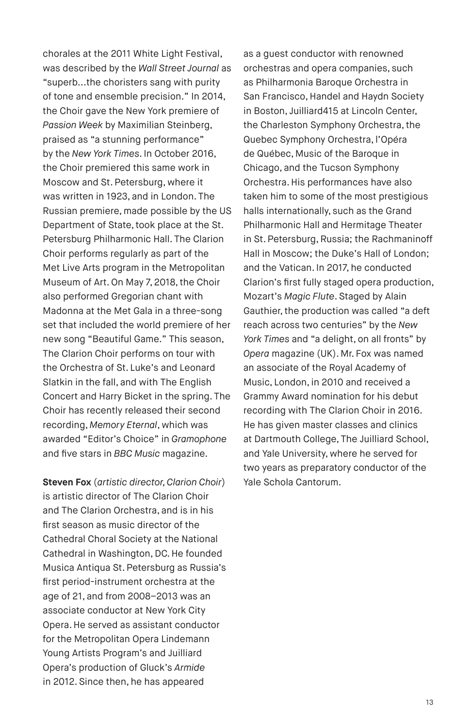chorales at the 2011 White Light Festival, was described by the *Wall Street Journal* as "superb...the choristers sang with purity of tone and ensemble precision." In 2014, the Choir gave the New York premiere of *Passion Week* by Maximilian Steinberg, praised as "a stunning performance" by the *New York Times*. In October 2016, the Choir premiered this same work in Moscow and St. Petersburg, where it was written in 1923, and in London. The Russian premiere, made possible by the US Department of State, took place at the St. Petersburg Philharmonic Hall. The Clarion Choir performs regularly as part of the Met Live Arts program in the Metropolitan Museum of Art. On May 7, 2018, the Choir also performed Gregorian chant with Madonna at the Met Gala in a three-song set that included the world premiere of her new song "Beautiful Game." This season, The Clarion Choir performs on tour with the Orchestra of St. Luke's and Leonard Slatkin in the fall, and with The English Concert and Harry Bicket in the spring. The Choir has recently released their second recording, *Memory Eternal*, which was awarded "Editor's Choice" in *Gramophone*  and five stars in *BBC Music* magazine.

**Steven Fox** (*artistic director, Clarion Choir*) is artistic director of The Clarion Choir and The Clarion Orchestra, and is in his first season as music director of the Cathedral Choral Society at the National Cathedral in Washington, DC. He founded Musica Antiqua St. Petersburg as Russia's first period-instrument orchestra at the age of 21, and from 2008–2013 was an associate conductor at New York City Opera. He served as assistant conductor for the Metropolitan Opera Lindemann Young Artists Program's and Juilliard Opera's production of Gluck's *Armide* in 2012. Since then, he has appeared

as a guest conductor with renowned orchestras and opera companies, such as Philharmonia Baroque Orchestra in San Francisco, Handel and Haydn Society in Boston, Juilliard415 at Lincoln Center, the Charleston Symphony Orchestra, the Quebec Symphony Orchestra, l'Opéra de Québec, Music of the Baroque in Chicago, and the Tucson Symphony Orchestra. His performances have also taken him to some of the most prestigious halls internationally, such as the Grand Philharmonic Hall and Hermitage Theater in St. Petersburg, Russia; the Rachmaninoff Hall in Moscow; the Duke's Hall of London; and the Vatican. In 2017, he conducted Clarion's first fully staged opera production, Mozart's *Magic Flute*. Staged by Alain Gauthier, the production was called "a deft reach across two centuries" by the *New York Times* and "a delight, on all fronts" by *Opera* magazine (UK). Mr. Fox was named an associate of the Royal Academy of Music, London, in 2010 and received a Grammy Award nomination for his debut recording with The Clarion Choir in 2016. He has given master classes and clinics at Dartmouth College, The Juilliard School, and Yale University, where he served for two years as preparatory conductor of the Yale Schola Cantorum.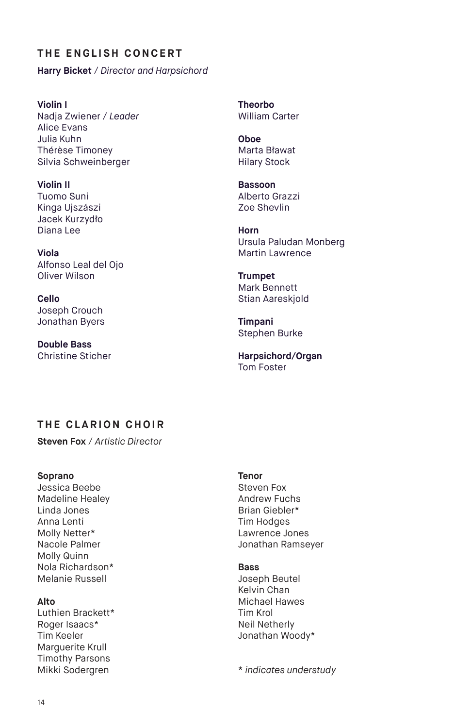## **THE ENGLISH CONCERT**

**Harry Bicket** / *Director and Harpsichord*

**Violin I** Nadja Zwiener / *Leader* Alice Evans Julia Kuhn Thérèse Timoney Silvia Schweinberger

**Violin II** Tuomo Suni Kinga Ujszászi Jacek Kurzydło Diana Lee

**Viola**  Alfonso Leal del Ojo Oliver Wilson

**Cello**  Joseph Crouch Jonathan Byers

**Double Bass** Christine Sticher **Theorbo** William Carter

**Oboe** Marta Bławat Hilary Stock

**Bassoon** Alberto Grazzi Zoe Shevlin

**Horn** Ursula Paludan Monberg Martin Lawrence

**Trumpet** Mark Bennett Stian Aareskjold

**Timpani** Stephen Burke

**Harpsichord/Organ** Tom Foster

# **THE CLARION CHOIR**

**Steven Fox** / *Artistic Director*

**Soprano** 

Jessica Beebe Madeline Healey Linda Jones Anna Lenti Molly Netter\* Nacole Palmer Molly Quinn Nola Richardson\* Melanie Russell

#### **Alto**

Luthien Brackett\* Roger Isaacs\* Tim Keeler Marguerite Krull Timothy Parsons Mikki Sodergren

#### **Tenor**

Steven Fox Andrew Fuchs Brian Giebler\* Tim Hodges Lawrence Jones Jonathan Ramseyer

#### **Bass**

Joseph Beutel Kelvin Chan Michael Hawes Tim Krol Neil Netherly Jonathan Woody\*

\* *indicates understudy*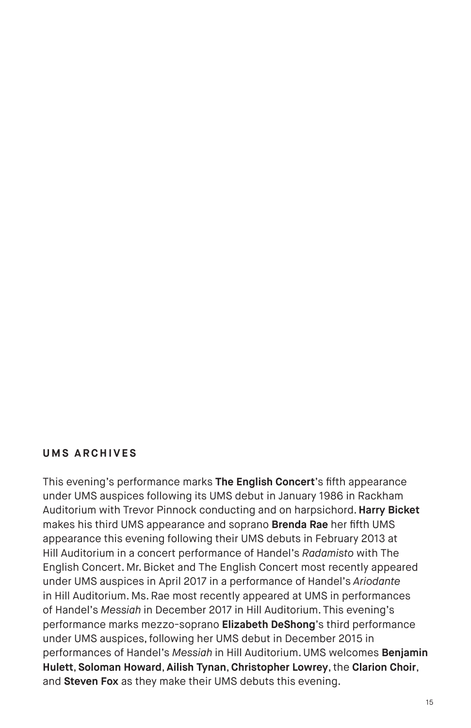#### **UMS ARCHIVES**

This evening's performance marks **The English Concert**'s fifth appearance under UMS auspices following its UMS debut in January 1986 in Rackham Auditorium with Trevor Pinnock conducting and on harpsichord. **Harry Bicket** makes his third UMS appearance and soprano **Brenda Rae** her fifth UMS appearance this evening following their UMS debuts in February 2013 at Hill Auditorium in a concert performance of Handel's *Radamisto* with The English Concert. Mr. Bicket and The English Concert most recently appeared under UMS auspices in April 2017 in a performance of Handel's *Ariodante*  in Hill Auditorium. Ms. Rae most recently appeared at UMS in performances of Handel's *Messiah* in December 2017 in Hill Auditorium. This evening's performance marks mezzo-soprano **Elizabeth DeShong**'s third performance under UMS auspices, following her UMS debut in December 2015 in performances of Handel's *Messiah* in Hill Auditorium. UMS welcomes **Benjamin Hulett**, **Soloman Howard**, **Ailish Tynan**, **Christopher Lowrey**, the **Clarion Choir**, and **Steven Fox** as they make their UMS debuts this evening.